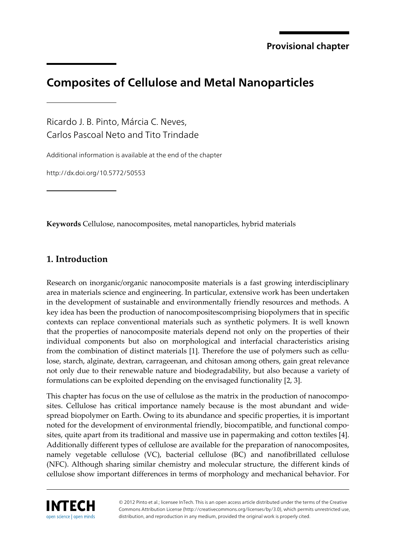# **Composites of Cellulose and Metal Nanoparticles**

Ricardo J. B. Pinto, Márcia C. Neves, Carlos Pascoal Neto and Tito Trindade

Additional information is available at the end of the chapter

http://dx.doi.org/10.5772/50553

**Keywords** Cellulose, nanocomposites, metal nanoparticles, hybrid materials

# **1. Introduction**

Research on inorganic/organic nanocomposite materials is a fast growing interdisciplinary area in materials science and engineering. In particular, extensive work has been undertaken in the development of sustainable and environmentally friendly resources and methods. A key idea has been the production of nanocompositescomprising biopolymers that in specific contexts can replace conventional materials such as synthetic polymers. It is well known that the properties of nanocomposite materials depend not only on the properties of their individual components but also on morphological and interfacial characteristics arising from the combination of distinct materials [\[1\]](#page-16-0). Therefore the use of polymers such as cellulose, starch, alginate, dextran, carrageenan, and chitosan among others, gain great relevance not only due to their renewable nature and biodegradability, but also because a variety of formulations can be exploited depending on the envisaged functionality [[2](#page-16-0), [3](#page-16-0)].

This chapter has focus on the use of cellulose as the matrix in the production of nanocomposites. Cellulose has critical importance namely because is the most abundant and wide‐ spread biopolymer on Earth. Owing to its abundance and specific properties, it is important noted for the development of environmental friendly, biocompatible, and functional composites, quite apart from its traditional and massive use in papermaking and cotton textiles [\[4\]](#page-16-0). Additionally different types of cellulose are available for the preparation of nanocomposites, namely vegetable cellulose (VC), bacterial cellulose (BC) and nanofibrillated cellulose (NFC). Although sharing similar chemistry and molecular structure, the different kinds of cellulose show important differences in terms of morphology and mechanical behavior. For



© 2012 Pinto et al.; licensee InTech. This is an open access article distributed under the terms of the Creative Commons Attribution License (http://creativecommons.org/licenses/by/3.0), which permits unrestricted use, distribution, and reproduction in any medium, provided the original work is properly cited.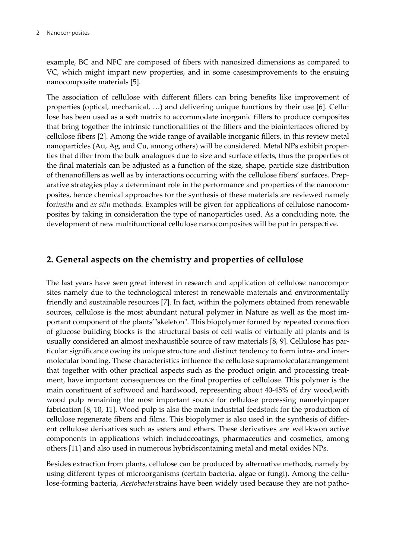example, BC and NFC are composed of fibers with nanosized dimensions as compared to VC, which might impart new properties, and in some casesimprovements to the ensuing nanocomposite materials [[5](#page-16-0)].

The association of cellulose with different fillers can bring benefits like improvement of properties (optical, mechanical, ...) and delivering unique functions by their use [\[6\]](#page-16-0). Cellulose has been used as a soft matrix to accommodate inorganic fillers to produce composites that bring together the intrinsic functionalities of the fillers and the biointerfaces offered by cellulose fibers [[2](#page-16-0)]. Among the wide range of available inorganic fillers, in this review metal nanoparticles (Au, Ag, and Cu, among others) will be considered. Metal NPs exhibit proper‐ ties that differ from the bulk analogues due to size and surface effects, thus the properties of the final materials can be adjusted as a function of the size, shape, particle size distribution of thenanofillers as well as by interactions occurring with the cellulose fibers' surfaces. Prep‐ arative strategies play a determinant role in the performance and properties of the nanocomposites, hence chemical approaches for the synthesis of these materials are reviewed namely for*insitu* and *ex situ* methods. Examples will be given for applications of cellulose nanocomposites by taking in consideration the type of nanoparticles used. As a concluding note, the development of new multifunctional cellulose nanocomposites will be put in perspective.

# **2. General aspects on the chemistry and properties of cellulose**

The last years have seen great interest in research and application of cellulose nanocomposites namely due to the technological interest in renewable materials and environmentally friendly and sustainable resources [\[7](#page-17-0)]. In fact, within the polymers obtained from renewable sources, cellulose is the most abundant natural polymer in Nature as well as the most important component of the plants'"skeleton". This biopolymer formed by repeated connection of glucose building blocks is the structural basis of cell walls of virtually all plants and is usually considered an almost inexhaustible source of raw materials [[8](#page-17-0), [9](#page-17-0)]. Cellulose has par‐ ticular significance owing its unique structure and distinct tendency to form intra- and intermolecular bonding. These characteristics influence the cellulose supramoleculararrangement that together with other practical aspects such as the product origin and processing treat‐ ment, have important consequences on the final properties of cellulose. This polymer is the main constituent of softwood and hardwood, representing about 40-45% of dry wood,with wood pulp remaining the most important source for cellulose processing namelyinpaper fabrication [\[8,](#page-17-0) [10, 11](#page-17-0)]. Wood pulp is also the main industrial feedstock for the production of cellulose regenerate fibers and films. This biopolymer is also used in the synthesis of differ‐ ent cellulose derivatives such as esters and ethers. These derivatives are well-kwon active components in applications which includecoatings, pharmaceutics and cosmetics, among others [[11\]](#page-17-0) and also used in numerous hybridscontaining metal and metal oxides NPs.

Besides extraction from plants, cellulose can be produced by alternative methods, namely by using different types of microorganisms (certain bacteria, algae or fungi). Among the cellulose-forming bacteria, *Acetobacterstrains* have been widely used because they are not patho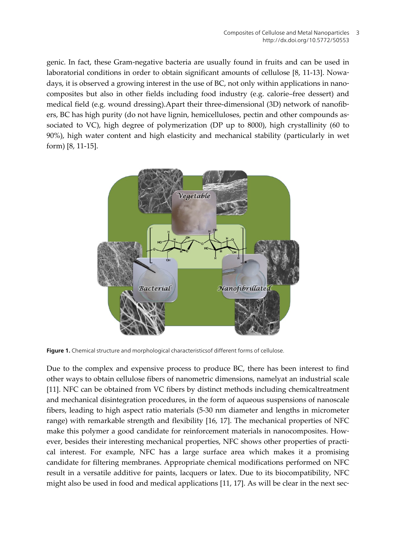genic. In fact, these Gram-negative bacteria are usually found in fruits and can be used in laboratorial conditions in order to obtain significant amounts of cellulose [[8](#page-17-0), [11-13\]](#page-17-0). Nowadays, it is observed a growing interest in the use of BC, not only within applications in nanocomposites but also in other fields including food industry (e.g. calorie–free dessert) and medical field (e.g. wound dressing).Apart their three-dimensional (3D) network of nanofib‐ ers, BC has high purity (do not have lignin, hemicelluloses, pectin and other compounds associated to VC), high degree of polymerization (DP up to 8000), high crystallinity (60 to 90%), high water content and high elasticity and mechanical stability (particularly in wet form) [\[8, 11-15](#page-17-0)].



**Figure 1.** Chemical structure and morphological characteristicsof different forms of cellulose.

Due to the complex and expensive process to produce BC, there has been interest to find other ways to obtain cellulose fibers of nanometric dimensions, namelyat an industrial scale [[11\]](#page-17-0). NFC can be obtained from VC fibers by distinct methods including chemicaltreatment and mechanical disintegration procedures, in the form of aqueous suspensions of nanoscale fibers, leading to high aspect ratio materials (5-30 nm diameter and lengths in micrometer range) with remarkable strength and flexibility [[16,](#page-17-0) [17\]](#page-17-0). The mechanical properties of NFC make this polymer a good candidate for reinforcement materials in nanocomposites. However, besides their interesting mechanical properties, NFC shows other properties of practical interest. For example, NFC has a large surface area which makes it a promising candidate for filtering membranes. Appropriate chemical modifications performed on NFC result in a versatile additive for paints, lacquers or latex. Due to its biocompatibility, NFC might also be used in food and medical applications [[11,](#page-17-0) [17\]](#page-17-0). As will be clear in the next sec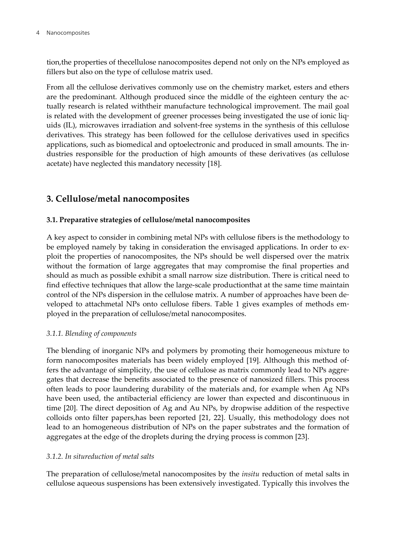tion,the properties of thecellulose nanocomposites depend not only on the NPs employed as fillers but also on the type of cellulose matrix used.

From all the cellulose derivatives commonly use on the chemistry market, esters and ethers are the predominant. Although produced since the middle of the eighteen century the actually research is related withtheir manufacture technological improvement. The mail goal is related with the development of greener processes being investigated the use of ionic liquids (IL), microwaves irradiation and solvent-free systems in the synthesis of this cellulose derivatives. This strategy has been followed for the cellulose derivatives used in specifics applications, such as biomedical and optoelectronic and produced in small amounts. The in‐ dustries responsible for the production of high amounts of these derivatives (as cellulose acetate) have neglected this mandatory necessity [[18\]](#page-17-0).

# **3. Cellulose/metal nanocomposites**

## **3.1. Preparative strategies of cellulose/metal nanocomposites**

A key aspect to consider in combining metal NPs with cellulose fibers is the methodology to be employed namely by taking in consideration the envisaged applications. In order to exploit the properties of nanocomposites, the NPs should be well dispersed over the matrix without the formation of large aggregates that may compromise the final properties and should as much as possible exhibit a small narrow size distribution. There is critical need to find effective techniques that allow the large-scale productionthat at the same time maintain control of the NPs dispersion in the cellulose matrix. A number of approaches have been de‐ veloped to attachmetal NPs onto cellulose fibers. Table 1 gives examples of methods employed in the preparation of cellulose/metal nanocomposites.

## *3.1.1. Blending of components*

The blending of inorganic NPs and polymers by promoting their homogeneous mixture to form nanocomposites materials has been widely employed [\[19](#page-17-0)]. Although this method of‐ fers the advantage of simplicity, the use of cellulose as matrix commonly lead to NPs aggregates that decrease the benefits associated to the presence of nanosized fillers. This process often leads to poor laundering durability of the materials and, for example when Ag NPs have been used, the antibacterial efficiency are lower than expected and discontinuous in time [\[20](#page-17-0)]. The direct deposition of Ag and Au NPs, by dropwise addition of the respective colloids onto filter papers,has been reported [\[21](#page-17-0), [22](#page-18-0)]. Usually, this methodology does not lead to an homogeneous distribution of NPs on the paper substrates and the formation of aggregates at the edge of the droplets during the drying process is common [\[23](#page-18-0)].

## *3.1.2. In situreduction of metal salts*

The preparation of cellulose/metal nanocomposites by the *insitu* reduction of metal salts in cellulose aqueous suspensions has been extensively investigated. Typically this involves the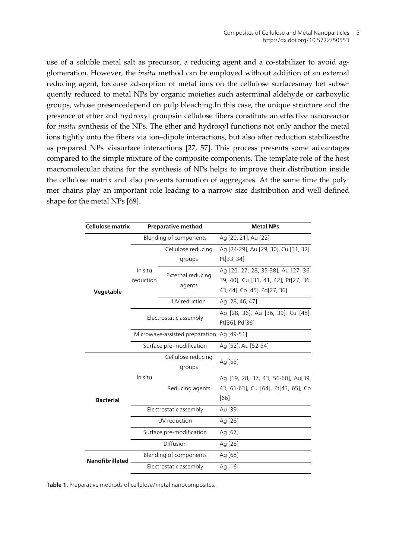use of a soluble metal salt as precursor, a reducing agent and a co-stabilizer to avoid agglomeration. However, the *insitu* method can be employed without addition of an external reducing agent, because adsorption of metal ions on the cellulose surfacesmay bet subsequently reduced to metal NPs by organic moieties such asterminal aldehyde or carboxylic groups, whose presencedepend on pulp bleaching.In this case, the unique structure and the presence of ether and hydroxyl groupsin cellulose fibers constitute an effective nanoreactor for *insitu* synthesis of the NPs. The ether and hydroxyl functions not only anchor the metal ions tightly onto the fibers via ion–dipole interactions, but also after reduction stabilizesthe as prepared NPs viasurface interactions [[27,](#page-18-0) [57](#page-20-0)]. This process presents some advantages compared to the simple mixture of the composite components. The template role of the host macromolecular chains for the synthesis of NPs helps to improve their distribution inside the cellulose matrix and also prevents formation of aggregates. At the same time the polymer chains play an important role leading to a narrow size distribution and well defined shape for the metal NPs [\[69](#page-21-0)].

| <b>Cellulose matrix</b> |                                           | Preparative method          | <b>Metal NPs</b>                      |
|-------------------------|-------------------------------------------|-----------------------------|---------------------------------------|
| Vegetable               | Blending of components                    |                             | Ag [20, 21], Au [22]                  |
|                         | In situ<br>reduction                      | Cellulose reducing          | Ag [24-29], Au [29, 30], Cu [31, 32], |
|                         |                                           | groups                      | Pt[33, 34]                            |
|                         |                                           | External reducing<br>agents | Ag [20, 27, 28, 35-38], Au [27, 36,   |
|                         |                                           |                             | 39, 40], Cu [31, 41, 42], Pt[27, 36,  |
|                         |                                           |                             | 43, 44], Co [45], Pd[27, 36]          |
|                         |                                           | UV reduction                | Ag [28, 46, 47]                       |
|                         | Electrostatic assembly                    |                             | Ag [28, 36], Au [36, 39], Cu [48],    |
|                         |                                           |                             | Pt[36], Pd[36]                        |
|                         | Microwave-assisted preparation Ag [49-51] |                             |                                       |
|                         | Surface pre-modification                  |                             | Ag [52], Au [52-54]                   |
| <b>Bacterial</b>        | Cellulose reducing                        |                             | Ag [55]                               |
|                         | In situ                                   | groups                      |                                       |
|                         |                                           | Reducing agents             | Ag [19, 28, 37, 43, 56-60], Au[39,    |
|                         |                                           |                             | 43, 61-63], Cu [64], Pt[43, 65], Co   |
|                         |                                           |                             | [66]                                  |
|                         | Electrostatic assembly                    |                             | Au [39]                               |
|                         | UV reduction                              |                             | Ag [28]                               |
|                         | Surface pre-modification                  |                             | Ag [67]                               |
|                         | Diffusion                                 |                             | Ag [28]                               |
| <b>Nanofibrillated</b>  | Blending of components                    |                             | Ag [68]                               |
|                         | Electrostatic assembly                    |                             | Ag [16]                               |

**Table 1.** Preparative methods of cellulose/metal nanocomposites.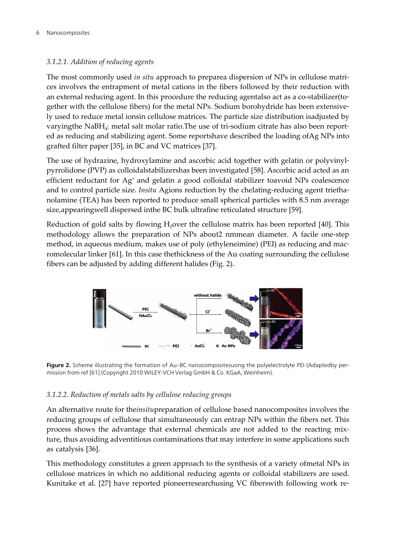### *3.1.2.1. Addition of reducing agents*

The most commonly used *in situ* approach to preparea dispersion of NPs in cellulose matri‐ ces involves the entrapment of metal cations in the fibers followed by their reduction with an external reducing agent. In this procedure the reducing agentalso act as a co-stabilizer(together with the cellulose fibers) for the metal NPs. Sodium borohydride has been extensive‐ ly used to reduce metal ionsin cellulose matrices. The particle size distribution isadjusted by varyingthe NaBH<sup>4</sup> : metal salt molar ratio.The use of tri-sodium citrate has also been report‐ ed as reducing and stabilizing agent. Some reportshave described the loading ofAg NPs into grafted filter paper [\[35](#page-18-0)], in BC and VC matrices [[37\]](#page-19-0).

The use of hydrazine, hydroxylamine and ascorbic acid together with gelatin or polyvinyl‐ pyrrolidone (PVP) as colloidalstabilizershas been investigated [[58\]](#page-20-0). Ascorbic acid acted as an efficient reductant for Ag<sup>+</sup> and gelatin a good colloidal stabilizer toavoid NPs coalescence and to control particle size. *Insitu* Agions reduction by the chelating-reducing agent triethanolamine (TEA) has been reported to produce small spherical particles with 8.5 nm average size,appearingwell dispersed inthe BC bulk ultrafine reticulated structure [[59\]](#page-20-0).

Reduction of gold salts by flowing H<sub>2</sub>over the cellulose matrix has been reported [[40\]](#page-19-0). This methodology allows the preparation of NPs about2 nmmean diameter. A facile one-step method, in aqueous medium, makes use of poly (ethyleneimine) (PEI) as reducing and macromolecular linker [[61](#page-21-0)]. In this case thethickness of the Au coating surrounding the cellulose fibers can be adjusted by adding different halides (Fig. 2).



Figure 2. Scheme illustrating the formation of Au–BC nanocompositesusing the polyelectrolyte PEI (Adaptedby permission from ref [\[61](#page-21-0)] (Copyright 2010 WILEY-VCH Verlag GmbH & Co. KGaA, Weinheim).

#### *3.1.2.2. Reduction of metals salts by cellulose reducing groups*

An alternative route for the*insitu*preparation of cellulose based nanocomposites involves the reducing groups of cellulose that simultaneously can entrap NPs within the fibers net. This process shows the advantage that external chemicals are not added to the reacting mix‐ ture, thus avoiding adventitious contaminations that may interfere in some applications such as catalysis [[36\]](#page-19-0).

This methodology constitutes a green approach to the synthesis of a variety ofmetal NPs in cellulose matrices in which no additional reducing agents or colloidal stabilizers are used. Kunitake et al. [\[27](#page-18-0)] have reported pioneerresearchusing VC fiberswith following work re‐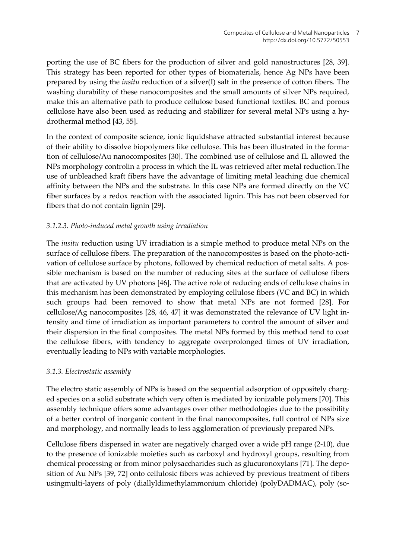porting the use of BC fibers for the production of silver and gold nanostructures [\[28](#page-18-0), [39\]](#page-19-0). This strategy has been reported for other types of biomaterials, hence Ag NPs have been prepared by using the *insitu* reduction of a silver(I) salt in the presence of cotton fibers. The washing durability of these nanocomposites and the small amounts of silver NPs required, make this an alternative path to produce cellulose based functional textiles. BC and porous cellulose have also been used as reducing and stabilizer for several metal NPs using a hy‐ drothermal method [\[43](#page-19-0), [55\]](#page-20-0).

In the context of composite science, ionic liquidshave attracted substantial interest because of their ability to dissolve biopolymers like cellulose. This has been illustrated in the forma‐ tion of cellulose/Au nanocomposites [\[30](#page-18-0)]. The combined use of cellulose and IL allowed the NPs morphology controlin a process in which the IL was retrieved after metal reduction.The use of unbleached kraft fibers have the advantage of limiting metal leaching due chemical affinity between the NPs and the substrate. In this case NPs are formed directly on the VC fiber surfaces by a redox reaction with the associated lignin. This has not been observed for fibers that do not contain lignin [\[29](#page-18-0)].

## *3.1.2.3. Photo-induced metal growth using irradiation*

The *insitu* reduction using UV irradiation is a simple method to produce metal NPs on the surface of cellulose fibers. The preparation of the nanocomposites is based on the photo-activation of cellulose surface by photons, followed by chemical reduction of metal salts. A possible mechanism is based on the number of reducing sites at the surface of cellulose fibers that are activated by UV photons [[46\]](#page-19-0). The active role of reducing ends of cellulose chains in this mechanism has been demonstrated by employing cellulose fibers (VC and BC) in which such groups had been removed to show that metal NPs are not formed [[28\]](#page-18-0). For cellulose/Ag nanocomposites [[28,](#page-18-0) [46](#page-19-0), [47](#page-19-0)] it was demonstrated the relevance of UV light in‐ tensity and time of irradiation as important parameters to control the amount of silver and their dispersion in the final composites. The metal NPs formed by this method tend to coat the cellulose fibers, with tendency to aggregate overprolonged times of UV irradiation, eventually leading to NPs with variable morphologies.

#### *3.1.3. Electrostatic assembly*

The electro static assembly of NPs is based on the sequential adsorption of oppositely charged species on a solid substrate which very often is mediated by ionizable polymers [\[70](#page-21-0)]. This assembly technique offers some advantages over other methodologies due to the possibility of a better control of inorganic content in the final nanocomposites, full control of NPs size and morphology, and normally leads to less agglomeration of previously prepared NPs.

Cellulose fibers dispersed in water are negatively charged over a wide pH range (2-10), due to the presence of ionizable moieties such as carboxyl and hydroxyl groups, resulting from chemical processing or from minor polysaccharides such as glucuronoxylans [\[71](#page-21-0)]. The deposition of Au NPs [[39,](#page-19-0) [72\]](#page-21-0) onto cellulosic fibers was achieved by previous treatment of fibers usingmulti-layers of poly (diallyldimethylammonium chloride) (polyDADMAC), poly (so‐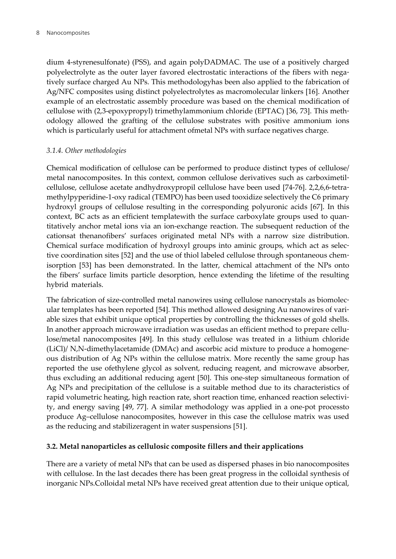dium 4-styrenesulfonate) (PSS), and again polyDADMAC. The use of a positively charged polyelectrolyte as the outer layer favored electrostatic interactions of the fibers with negatively surface charged Au NPs. This methodologyhas been also applied to the fabrication of Ag/NFC composites using distinct polyelectrolytes as macromolecular linkers [\[16](#page-17-0)]. Another example of an electrostatic assembly procedure was based on the chemical modification of cellulose with (2,3-epoxypropyl) trimethylammonium chloride (EPTAC) [[36,](#page-19-0) [73](#page-22-0)]. This meth‐ odology allowed the grafting of the cellulose substrates with positive ammonium ions which is particularly useful for attachment ofmetal NPs with surface negatives charge.

#### *3.1.4. Other methodologies*

Chemical modification of cellulose can be performed to produce distinct types of cellulose/ metal nanocomposites. In this context, common cellulose derivatives such as carboximetil‐ cellulose, cellulose acetate andhydroxypropil cellulose have been used [\[74-76](#page-22-0)]. 2,2,6,6-tetra‐ methylpyperidine-1-oxy radical (TEMPO) has been used tooxidize selectively the C6 primary hydroxyl groups of cellulose resulting in the corresponding polyuronic acids [[67\]](#page-21-0). In this context, BC acts as an efficient templatewith the surface carboxylate groups used to quantitatively anchor metal ions via an ion-exchange reaction. The subsequent reduction of the cationsat thenanofibers' surfaces originated metal NPs with a narrow size distribution. Chemical surface modification of hydroxyl groups into aminic groups, which act as selec‐ tive coordination sites [\[52](#page-20-0)] and the use of thiol labeled cellulose through spontaneous chemisorption [\[53](#page-20-0)] has been demonstrated. In the latter, chemical attachment of the NPs onto the fibers' surface limits particle desorption, hence extending the lifetime of the resulting hybrid materials.

The fabrication of size-controlled metal nanowires using cellulose nanocrystals as biomolec‐ ular templates has been reported [[54\]](#page-20-0). This method allowed designing Au nanowires of variable sizes that exhibit unique optical properties by controlling the thicknesses of gold shells. In another approach microwave irradiation was usedas an efficient method to prepare cellulose/metal nanocomposites [[49\]](#page-20-0). In this study cellulose was treated in a lithium chloride (LiCl)/ N,N-dimethylacetamide (DMAc) and ascorbic acid mixture to produce a homogene‐ ous distribution of Ag NPs within the cellulose matrix. More recently the same group has reported the use ofethylene glycol as solvent, reducing reagent, and microwave absorber, thus excluding an additional reducing agent [\[50](#page-20-0)]. This one-step simultaneous formation of Ag NPs and precipitation of the cellulose is a suitable method due to its characteristics of rapid volumetric heating, high reaction rate, short reaction time, enhanced reaction selectivity, and energy saving [[49,](#page-20-0) [77](#page-22-0)]. A similar methodology was applied in a one-pot processto produce Ag–cellulose nanocomposites, however in this case the cellulose matrix was used as the reducing and stabilizeragent in water suspensions [[51\]](#page-20-0).

#### **3.2. Metal nanoparticles as cellulosic composite fillers and their applications**

There are a variety of metal NPs that can be used as dispersed phases in bio nanocomposites with cellulose. In the last decades there has been great progress in the colloidal synthesis of inorganic NPs.Colloidal metal NPs have received great attention due to their unique optical,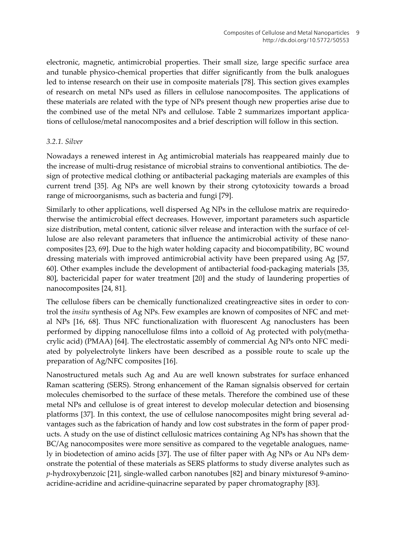electronic, magnetic, antimicrobial properties. Their small size, large specific surface area and tunable physico-chemical properties that differ significantly from the bulk analogues led to intense research on their use in composite materials [[78\]](#page-22-0). This section gives examples of research on metal NPs used as fillers in cellulose nanocomposites. The applications of these materials are related with the type of NPs present though new properties arise due to the combined use of the metal NPs and cellulose. Table 2 summarizes important applica‐ tions of cellulose/metal nanocomposites and a brief description will follow in this section.

### *3.2.1. Silver*

Nowadays a renewed interest in Ag antimicrobial materials has reappeared mainly due to the increase of multi-drug resistance of microbial strains to conventional antibiotics. The de‐ sign of protective medical clothing or antibacterial packaging materials are examples of this current trend [[35\]](#page-18-0). Ag NPs are well known by their strong cytotoxicity towards a broad range of microorganisms, such as bacteria and fungi [[79\]](#page-22-0).

Similarly to other applications, well dispersed Ag NPs in the cellulose matrix are requiredo‐ therwise the antimicrobial effect decreases. However, important parameters such asparticle size distribution, metal content, cationic silver release and interaction with the surface of cellulose are also relevant parameters that influence the antimicrobial activity of these nano‐ composites [[23,](#page-18-0) [69](#page-21-0)]. Due to the high water holding capacity and biocompatibility, BC wound dressing materials with improved antimicrobial activity have been prepared using Ag [[57,](#page-20-0) [60\]](#page-20-0). Other examples include the development of antibacterial food-packaging materials [[35,](#page-18-0) [80\]](#page-22-0), bactericidal paper for water treatment [\[20](#page-17-0)] and the study of laundering properties of nanocomposites [[24,](#page-18-0) [81](#page-22-0)].

The cellulose fibers can be chemically functionalized creatingreactive sites in order to control the *insitu* synthesis of Ag NPs. Few examples are known of composites of NFC and metal NPs [\[16](#page-17-0), [68\]](#page-21-0). Thus NFC functionalization with fluorescent Ag nanoclusters has been performed by dipping nanocellulose films into a colloid of Ag protected with poly(metha‐ crylic acid) (PMAA) [[64\]](#page-21-0). The electrostatic assembly of commercial Ag NPs onto NFC medi‐ ated by polyelectrolyte linkers have been described as a possible route to scale up the preparation of Ag/NFC composites [[16\]](#page-17-0).

Nanostructured metals such Ag and Au are well known substrates for surface enhanced Raman scattering (SERS). Strong enhancement of the Raman signalsis observed for certain molecules chemisorbed to the surface of these metals. Therefore the combined use of these metal NPs and cellulose is of great interest to develop molecular detection and biosensing platforms [\[37](#page-19-0)]. In this context, the use of cellulose nanocomposites might bring several ad‐ vantages such as the fabrication of handy and low cost substrates in the form of paper prod‐ ucts. A study on the use of distinct cellulosic matrices containing Ag NPs has shown that the BC/Ag nanocomposites were more sensitive as compared to the vegetable analogues, namely in biodetection of amino acids [\[37](#page-19-0)]. The use of filter paper with Ag NPs or Au NPs dem‐ onstrate the potential of these materials as SERS platforms to study diverse analytes such as *p*-hydroxybenzoic [[21](#page-17-0)], single-walled carbon nanotubes [\[82](#page-22-0)] and binary mixturesof 9-amino‐ acridine-acridine and acridine-quinacrine separated by paper chromatography [[83\]](#page-22-0).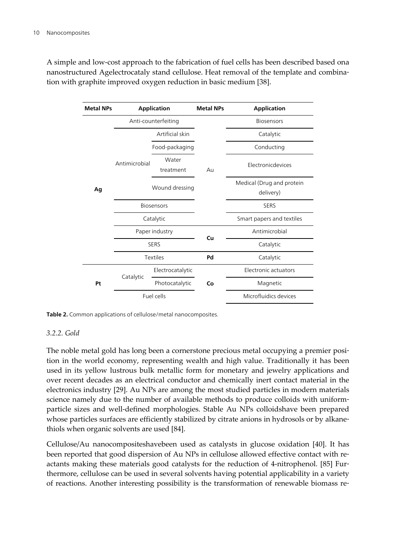A simple and low-cost approach to the fabrication of fuel cells has been described based ona nanostructured Agelectrocataly stand cellulose. Heat removal of the template and combina‐ tion with graphite improved oxygen reduction in basic medium [[38\]](#page-19-0).

| <b>Metal NPs</b> | <b>Application</b>  |                    | <b>Metal NPs</b> | Application                            |
|------------------|---------------------|--------------------|------------------|----------------------------------------|
|                  | Anti-counterfeiting |                    |                  | <b>Biosensors</b>                      |
| Αg               |                     | Artificial skin    | Au               | Catalytic                              |
|                  | Antimicrobial       | Food-packaging     |                  | Conducting                             |
|                  |                     | Water<br>treatment |                  | Electronicdevices                      |
|                  |                     | Wound dressing     |                  | Medical (Drug and protein<br>delivery) |
|                  |                     | <b>Biosensors</b>  |                  | <b>SERS</b>                            |
|                  |                     | Catalytic          |                  | Smart papers and textiles              |
|                  | Paper industry      |                    | Cu               | Antimicrobial                          |
|                  | <b>SERS</b>         |                    |                  | Catalytic                              |
|                  | <b>Textiles</b>     |                    | Pd               | Catalytic                              |
| Pt               | Catalytic           | Electrocatalytic   |                  | Electronic actuators                   |
|                  |                     | Photocatalytic     | Co               | Magnetic                               |
|                  | Fuel cells          |                    |                  | Microfluidics devices                  |

**Table 2.** Common applications of cellulose/metal nanocomposites.

#### *3.2.2. Gold*

The noble metal gold has long been a cornerstone precious metal occupying a premier position in the world economy, representing wealth and high value. Traditionally it has been used in its yellow lustrous bulk metallic form for monetary and jewelry applications and over recent decades as an electrical conductor and chemically inert contact material in the electronics industry [\[29](#page-18-0)]. Au NPs are among the most studied particles in modern materials science namely due to the number of available methods to produce colloids with uniformparticle sizes and well-defined morphologies. Stable Au NPs colloidshave been prepared whose particles surfaces are efficiently stabilized by citrate anions in hydrosols or by alkanethiols when organic solvents are used [[84\]](#page-22-0).

Cellulose/Au nanocompositeshavebeen used as catalysts in glucose oxidation [[40\]](#page-19-0). It has been reported that good dispersion of Au NPs in cellulose allowed effective contact with re‐ actants making these materials good catalysts for the reduction of 4-nitrophenol. [\[85\]](#page-22-0) Fur‐ thermore, cellulose can be used in several solvents having potential applicability in a variety of reactions. Another interesting possibility is the transformation of renewable biomass re‐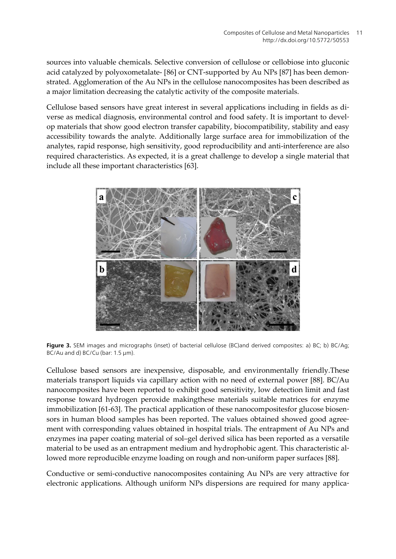sources into valuable chemicals. Selective conversion of cellulose or cellobiose into gluconic acid catalyzed by polyoxometalate- [[86\]](#page-23-0) or CNT-supported by Au NPs [\[87](#page-23-0)] has been demonstrated. Agglomeration of the Au NPs in the cellulose nanocomposites has been described as a major limitation decreasing the catalytic activity of the composite materials.

Cellulose based sensors have great interest in several applications including in fields as di‐ verse as medical diagnosis, environmental control and food safety. It is important to devel‐ op materials that show good electron transfer capability, biocompatibility, stability and easy accessibility towards the analyte. Additionally large surface area for immobilization of the analytes, rapid response, high sensitivity, good reproducibility and anti-interference are also required characteristics. As expected, it is a great challenge to develop a single material that include all these important characteristics [\[63](#page-21-0)].



**Figure 3.** SEM images and micrographs (inset) of bacterial cellulose (BC)and derived composites: a) BC; b) BC/Ag; BC/Au and d) BC/Cu (bar: 1.5 µm).

Cellulose based sensors are inexpensive, disposable, and environmentally friendly.These materials transport liquids via capillary action with no need of external power [[88\]](#page-23-0). BC/Au nanocomposites have been reported to exhibit good sensitivity, low detection limit and fast response toward hydrogen peroxide makingthese materials suitable matrices for enzyme immobilization [[61-63\]](#page-21-0). The practical application of these nanocompositesfor glucose biosensors in human blood samples has been reported. The values obtained showed good agreement with corresponding values obtained in hospital trials. The entrapment of Au NPs and enzymes ina paper coating material of sol–gel derived silica has been reported as a versatile material to be used as an entrapment medium and hydrophobic agent. This characteristic al‐ lowed more reproducible enzyme loading on rough and non-uniform paper surfaces [\[88](#page-23-0)].

Conductive or semi-conductive nanocomposites containing Au NPs are very attractive for electronic applications. Although uniform NPs dispersions are required for many applica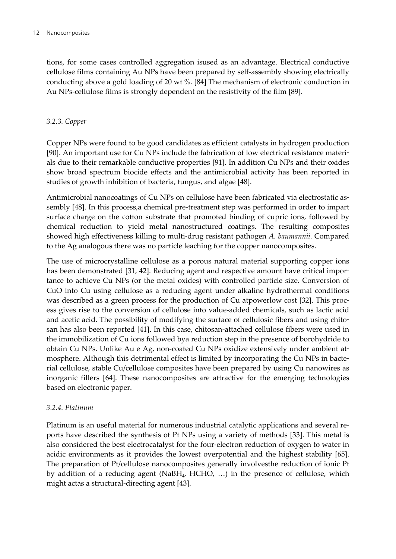tions, for some cases controlled aggregation isused as an advantage. Electrical conductive cellulose films containing Au NPs have been prepared by self-assembly showing electrically conducting above a gold loading of 20 wt %. [\[84](#page-22-0)] The mechanism of electronic conduction in Au NPs-cellulose films is strongly dependent on the resistivity of the film [\[89](#page-23-0)].

### *3.2.3. Copper*

Copper NPs were found to be good candidates as efficient catalysts in hydrogen production [[90\]](#page-23-0). An important use for Cu NPs include the fabrication of low electrical resistance materials due to their remarkable conductive properties [[91\]](#page-23-0). In addition Cu NPs and their oxides show broad spectrum biocide effects and the antimicrobial activity has been reported in studies of growth inhibition of bacteria, fungus, and algae [\[48](#page-19-0)].

Antimicrobial nanocoatings of Cu NPs on cellulose have been fabricated via electrostatic as‐ sembly [[48\]](#page-19-0). In this process,a chemical pre-treatment step was performed in order to impart surface charge on the cotton substrate that promoted binding of cupric ions, followed by chemical reduction to yield metal nanostructured coatings. The resulting composites showed high effectiveness killing to multi-drug resistant pathogen *A. baumannii*. Compared to the Ag analogous there was no particle leaching for the copper nanocomposites.

The use of microcrystalline cellulose as a porous natural material supporting copper ions has been demonstrated [[31,](#page-18-0) [42\]](#page-19-0). Reducing agent and respective amount have critical importance to achieve Cu NPs (or the metal oxides) with controlled particle size. Conversion of CuO into Cu using cellulose as a reducing agent under alkaline hydrothermal conditions was described as a green process for the production of Cu atpowerlow cost [\[32](#page-18-0)]. This process gives rise to the conversion of cellulose into value-added chemicals, such as lactic acid and acetic acid. The possibility of modifying the surface of cellulosic fibers and using chitosan has also been reported [\[41](#page-19-0)]. In this case, chitosan-attached cellulose fibers were used in the immobilization of Cu ions followed bya reduction step in the presence of borohydride to obtain Cu NPs. Unlike Au e Ag, non-coated Cu NPs oxidize extensively under ambient at‐ mosphere. Although this detrimental effect is limited by incorporating the Cu NPs in bacterial cellulose, stable Cu/cellulose composites have been prepared by using Cu nanowires as inorganic fillers [\[64](#page-21-0)]. These nanocomposites are attractive for the emerging technologies based on electronic paper.

#### *3.2.4. Platinum*

Platinum is an useful material for numerous industrial catalytic applications and several re‐ ports have described the synthesis of Pt NPs using a variety of methods [\[33](#page-18-0)]. This metal is also considered the best electrocatalyst for the four-electron reduction of oxygen to water in acidic environments as it provides the lowest overpotential and the highest stability [[65\]](#page-21-0). The preparation of Pt/cellulose nanocomposites generally involvesthe reduction of ionic Pt by addition of a reducing agent (NaBH $_{4}$ , HCHO, ...) in the presence of cellulose, which might actas a structural-directing agent [\[43](#page-19-0)].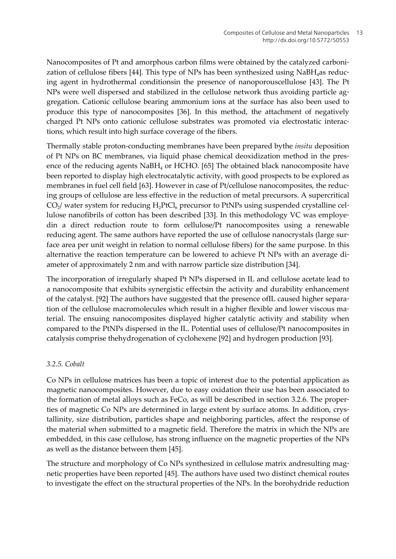Nanocomposites of Pt and amorphous carbon films were obtained by the catalyzed carboni‐ zation of cellulose fibers [\[44](#page-19-0)]. This type of NPs has been synthesized using  $NabH<sub>4</sub>$ as reducing agent in hydrothermal conditionsin the presence of nanoporouscellulose [[43\]](#page-19-0). The Pt NPs were well dispersed and stabilized in the cellulose network thus avoiding particle ag‐ gregation. Cationic cellulose bearing ammonium ions at the surface has also been used to produce this type of nanocomposites [[36\]](#page-19-0). In this method, the attachment of negatively charged Pt NPs onto cationic cellulose substrates was promoted via electrostatic interac‐ tions, which result into high surface coverage of the fibers.

Thermally stable proton-conducting membranes have been prepared bythe *insitu* deposition of Pt NPs on BC membranes, via liquid phase chemical deoxidization method in the pres‐ ence of the reducing agents  $\mathrm{NaBH_{4}}$  or HCHO. [\[65](#page-21-0)] The obtained black nanocomposite have been reported to display high electrocatalytic activity, with good prospects to be explored as membranes in fuel cell field [\[63](#page-21-0)]. However in case of Pt/cellulose nanocomposites, the reducing groups of cellulose are less effective in the reduction of metal precursors. A supercritical  $\rm CO_2/$  water system for reducing  $\rm H_2$ PtCl<sub>6</sub> precursor to PtNPs using suspended crystalline cellulose nanofibrils of cotton has been described [[33\]](#page-18-0). In this methodology VC was employe‐ din a direct reduction route to form cellulose/Pt nanocomposites using a renewable reducing agent. The same authors have reported the use of cellulose nanocrystals (large sur‐ face area per unit weight in relation to normal cellulose fibers) for the same purpose. In this alternative the reaction temperature can be lowered to achieve Pt NPs with an average di‐ ameter of approximately 2 nm and with narrow particle size distribution [\[34](#page-18-0)].

The incorporation of irregularly shaped Pt NPs dispersed in IL and cellulose acetate lead to a nanocomposite that exhibits synergistic effectsin the activity and durability enhancement of the catalyst. [[92\]](#page-23-0) The authors have suggested that the presence ofIL caused higher separa‐ tion of the cellulose macromolecules which result in a higher flexible and lower viscous material. The ensuing nanocomposites displayed higher catalytic activity and stability when compared to the PtNPs dispersed in the IL. Potential uses of cellulose/Pt nanocomposites in catalysis comprise thehydrogenation of cyclohexene [\[92](#page-23-0)] and hydrogen production [[93\]](#page-23-0).

## *3.2.5. Cobalt*

Co NPs in cellulose matrices has been a topic of interest due to the potential application as magnetic nanocomposites. However, due to easy oxidation their use has been associated to the formation of metal alloys such as FeCo, as will be described in section 3.2.6. The proper‐ ties of magnetic Co NPs are determined in large extent by surface atoms. In addition, crys‐ tallinity, size distribution, particles shape and neighboring particles, affect the response of the material when submitted to a magnetic field. Therefore the matrix in which the NPs are embedded, in this case cellulose, has strong influence on the magnetic properties of the NPs as well as the distance between them [[45\]](#page-19-0).

The structure and morphology of Co NPs synthesized in cellulose matrix andresulting mag‐ netic properties have been reported [[45\]](#page-19-0). The authors have used two distinct chemical routes to investigate the effect on the structural properties of the NPs. In the borohydride reduction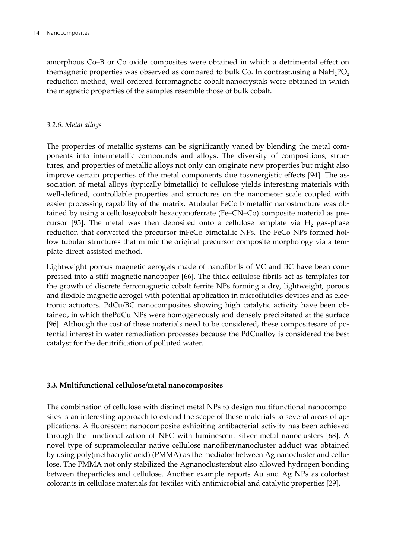amorphous Co–B or Co oxide composites were obtained in which a detrimental effect on themagnetic properties was observed as compared to bulk Co. In contrast, using a  $\text{NaH}_2\text{PO}_2$ reduction method, well-ordered ferromagnetic cobalt nanocrystals were obtained in which the magnetic properties of the samples resemble those of bulk cobalt.

#### *3.2.6. Metal alloys*

The properties of metallic systems can be significantly varied by blending the metal components into intermetallic compounds and alloys. The diversity of compositions, struc‐ tures, and properties of metallic alloys not only can originate new properties but might also improve certain properties of the metal components due tosynergistic effects [[94\]](#page-23-0). The association of metal alloys (typically bimetallic) to cellulose yields interesting materials with well-defined, controllable properties and structures on the nanometer scale coupled with easier processing capability of the matrix. Atubular FeCo bimetallic nanostructure was ob‐ tained by using a cellulose/cobalt hexacyanoferrate (Fe–CN–Co) composite material as pre‐ cursor[[95\]](#page-23-0). The metal was then deposited onto a cellulose template via  $\rm H_{2}$  gas-phase reduction that converted the precursor inFeCo bimetallic NPs. The FeCo NPs formed hol‐ low tubular structures that mimic the original precursor composite morphology via a template-direct assisted method.

Lightweight porous magnetic aerogels made of nanofibrils of VC and BC have been com‐ pressed into a stiff magnetic nanopaper [[66\]](#page-21-0). The thick cellulose fibrils act as templates for the growth of discrete ferromagnetic cobalt ferrite NPs forming a dry, lightweight, porous and flexible magnetic aerogel with potential application in microfluidics devices and as electronic actuators. PdCu/BC nanocomposites showing high catalytic activity have been ob‐ tained, in which thePdCu NPs were homogeneously and densely precipitated at the surface [[96\]](#page-23-0). Although the cost of these materials need to be considered, these compositesare of potential interest in water remediation processes because the PdCualloy is considered the best catalyst for the denitrification of polluted water.

#### **3.3. Multifunctional cellulose/metal nanocomposites**

The combination of cellulose with distinct metal NPs to design multifunctional nanocompo‐ sites is an interesting approach to extend the scope of these materials to several areas of applications. A fluorescent nanocomposite exhibiting antibacterial activity has been achieved through the functionalization of NFC with luminescent silver metal nanoclusters [\[68\]](#page-21-0). A novel type of supramolecular native cellulose nanofiber/nanocluster adduct was obtained by using poly(methacrylic acid) (PMMA) as the mediator between Ag nanocluster and cellulose. The PMMA not only stabilized the Agnanoclustersbut also allowed hydrogen bonding between theparticles and cellulose. Another example reports Au and Ag NPs as colorfast colorants in cellulose materials for textiles with antimicrobial and catalytic properties [\[29](#page-18-0)].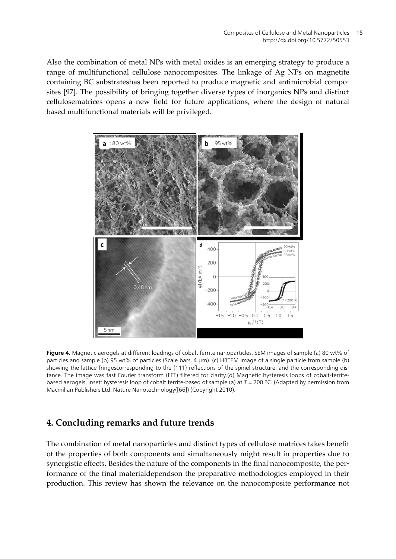Also the combination of metal NPs with metal oxides is an emerging strategy to produce a range of multifunctional cellulose nanocomposites. The linkage of Ag NPs on magnetite containing BC substrateshas been reported to produce magnetic and antimicrobial composites [\[97](#page-23-0)]. The possibility of bringing together diverse types of inorganics NPs and distinct cellulosematrices opens a new field for future applications, where the design of natural based multifunctional materials will be privileged.



**Figure 4.** Magnetic aerogels at different loadings of cobalt ferrite nanoparticles. SEM images of sample (a) 80 wt% of particles and sample (b) 95 wt% of particles (Scale bars, 4 µm). (c) HRTEM image of a single particle from sample (b) showing the lattice fringescorresponding to the {111} reflections of the spinel structure, and the corresponding dis‐ tance. The image was fast Fourier transform (FFT) filtered for clarity.(d) Magnetic hysteresis loops of cobalt-ferritebased aerogels. Inset: hysteresis loop of cobalt ferrite-based of sample (a) at  $T = 200$  °C. (Adapted by permission from Macmillan Publishers Ltd: Nature Nanotechnology([[66\]](#page-21-0)) (Copyright 2010).

# **4. Concluding remarks and future trends**

The combination of metal nanoparticles and distinct types of cellulose matrices takes benefit of the properties of both components and simultaneously might result in properties due to synergistic effects. Besides the nature of the components in the final nanocomposite, the performance of the final materialdependson the preparative methodologies employed in their production. This review has shown the relevance on the nanocomposite performance not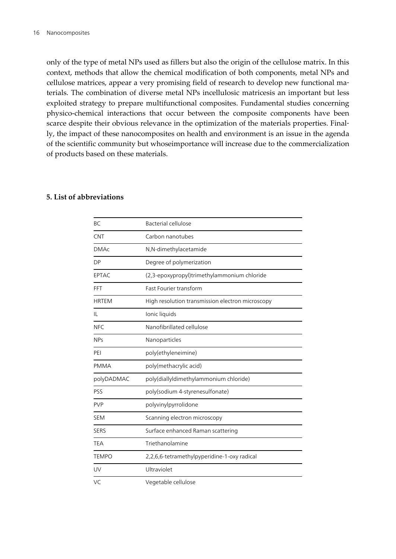only of the type of metal NPs used as fillers but also the origin of the cellulose matrix. In this context, methods that allow the chemical modification of both components, metal NPs and cellulose matrices, appear a very promising field of research to develop new functional ma‐ terials. The combination of diverse metal NPs incellulosic matricesis an important but less exploited strategy to prepare multifunctional composites. Fundamental studies concerning physico-chemical interactions that occur between the composite components have been scarce despite their obvious relevance in the optimization of the materials properties. Finally, the impact of these nanocomposites on health and environment is an issue in the agenda of the scientific community but whoseimportance will increase due to the commercialization of products based on these materials.

| ВC           | <b>Bacterial cellulose</b>                       |  |  |  |
|--------------|--------------------------------------------------|--|--|--|
| <b>CNT</b>   | Carbon nanotubes                                 |  |  |  |
| <b>DMAc</b>  | N,N-dimethylacetamide                            |  |  |  |
| DP           | Degree of polymerization                         |  |  |  |
| <b>EPTAC</b> | (2,3-epoxypropyl)trimethylammonium chloride      |  |  |  |
| FFT          | <b>Fast Fourier transform</b>                    |  |  |  |
| <b>HRTEM</b> | High resolution transmission electron microscopy |  |  |  |
| IL           | Ionic liquids                                    |  |  |  |
| <b>NFC</b>   | Nanofibrillated cellulose                        |  |  |  |
| <b>NPs</b>   | Nanoparticles                                    |  |  |  |
| PEI          | poly(ethyleneimine)                              |  |  |  |
| PMMA         | poly(methacrylic acid)                           |  |  |  |
| polyDADMAC   | poly(diallyldimethylammonium chloride)           |  |  |  |
| PSS          | poly(sodium 4-styrenesulfonate)                  |  |  |  |
| <b>PVP</b>   | polyvinylpyrrolidone                             |  |  |  |
| <b>SEM</b>   | Scanning electron microscopy                     |  |  |  |
| <b>SERS</b>  | Surface enhanced Raman scattering                |  |  |  |
| <b>TEA</b>   | Triethanolamine                                  |  |  |  |
| TEMPO        | 2,2,6,6-tetramethylpyperidine-1-oxy radical      |  |  |  |
| UV           | Ultraviolet                                      |  |  |  |
| VC           | Vegetable cellulose                              |  |  |  |

#### **5. List of abbreviations**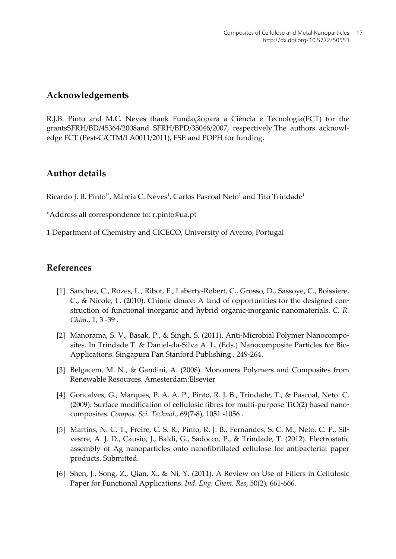# <span id="page-16-0"></span>**Acknowledgements**

R.J.B. Pinto and M.C. Neves thank Fundaçãopara a Ciência e Tecnologia(FCT) for the grantsSFRH/BD/45364/2008and SFRH/BPD/35046/2007, respectively. The authors acknowledge FCT (Pest-C/CTM/LA0011/2011), FSE and POPH for funding.

# **Author details**

Ricardo J. B. Pinto<sup>1\*</sup>, Márcia C. Neves<sup>1</sup>, Carlos Pascoal Neto<sup>1</sup> and Tito Trindade<sup>1</sup>

\*Address all correspondence to: r.pinto@ua.pt

1 Department of Chemistry and CICECO, University of Aveiro, Portugal

# **References**

- [1] Sanchez, C., Rozes, L., Ribot, F., Laberty-Robert, C., Grosso, D., Sassoye, C., Boissiere, C.,  $\&$  Nicole, L. (2010). Chimie douce: A land of opportunities for the designed construction of functional inorganic and hybrid organic-inorganic nanomaterials. *C. R. Chim.*, 1, 3 -39 .
- [2] Manorama, S. V., Basak, P., & Singh, S. (2011). Anti-Microbial Polymer Nanocomposites. In Trindade T. & Daniel-da-Silva A. L. (Eds.) Nanocomposite Particles for Bio-Applications. Singapura Pan Stanford Publishing , 249-264.
- [3] Belgacem, M. N., & Gandini, A. (2008). Monomers Polymers and Composites from Renewable Resources. Amesterdam:Elsevier
- [4] Goncalves, G., Marques, P. A. A. P., Pinto, R. J. B., Trindade, T., & Pascoal, Neto. C. (2009). Surface modification of cellulosic fibres for multi-purpose TiO(2) based nano‐ composites. *Compos. Sci. Technol.*, 69(7-8), 1051 -1056 .
- [5] Martins, N. C. T., Freire, C. S. R., Pinto, R. J. B., Fernandes, S. C. M., Neto, C. P., Sil‐ vestre, A. J. D., Causio, J., Baldi, G., Sadocco, P., & Trindade, T. (2012). Electrostatic assembly of Ag nanoparticles onto nanofibrillated cellulose for antibacterial paper products. Submitted.
- [6] Shen, J., Song, Z., Qian, X., & Ni, Y. (2011). A Review on Use of Fillers in Cellulosic Paper for Functional Applications. *Ind. Eng. Chem. Res*, 50(2), 661-666.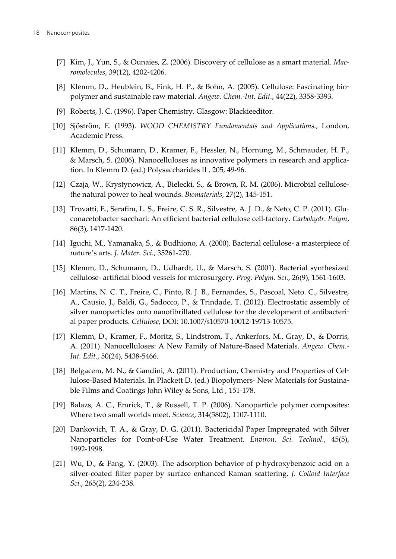- <span id="page-17-0"></span>[7] Kim, J., Yun, S., & Ounaies, Z. (2006). Discovery of cellulose as a smart material. *Mac‐ romolecules*, 39(12), 4202-4206.
- [8] Klemm, D., Heublein, B., Fink, H. P., & Bohn, A. (2005). Cellulose: Fascinating biopolymer and sustainable raw material. *Angew. Chem.-Int. Edit.*, 44(22), 3358-3393.
- [9] Roberts, J. C. (1996). Paper Chemistry. Glasgow: Blackieeditor.
- [10] Sjöström, E. (1993). *WOOD CHEMISTRY Fundamentals and Applications.*, London, Academic Press.
- [11] Klemm, D., Schumann, D., Kramer, F., Hessler, N., Hornung, M., Schmauder, H. P., & Marsch, S. (2006). Nanocelluloses as innovative polymers in research and applica‐ tion. In Klemm D. (ed.) Polysaccharides II , 205, 49-96.
- [12] Czaja, W., Krystynowicz, A., Bielecki, S., & Brown, R. M. (2006). Microbial cellulosethe natural power to heal wounds. *Biomaterials*, 27(2), 145-151.
- [13] Trovatti, E., Serafim, L. S., Freire, C. S. R., Silvestre, A. J. D., & Neto, C. P. (2011). Gluconacetobacter sacchari: An efficient bacterial cellulose cell-factory. *Carbohydr. Polym*, 86(3), 1417-1420.
- [14] Iguchi, M., Yamanaka, S., & Budhiono, A. (2000). Bacterial cellulose- a masterpiece of nature's arts. *J. Mater. Sci.*, 35261-270.
- [15] Klemm, D., Schumann, D., Udhardt, U., & Marsch, S. (2001). Bacterial synthesized cellulose- artificial blood vessels for microsurgery. *Prog. Polym. Sci.*, 26(9), 1561-1603.
- [16] Martins, N. C. T., Freire, C., Pinto, R. J. B., Fernandes, S., Pascoal, Neto. C., Silvestre, A., Causio, J., Baldi, G., Sadocco, P., & Trindade, T. (2012). Electrostatic assembly of silver nanoparticles onto nanofibrillated cellulose for the development of antibacterial paper products. *Cellulose*, DOI: 10.1007/s10570-10012-19713-10575.
- [17] Klemm, D., Kramer, F., Moritz, S., Lindstrom, T., Ankerfors, M., Gray, D., & Dorris, A. (2011). Nanocelluloses: A New Family of Nature-Based Materials. *Angew. Chem.- Int. Edit.*, 50(24), 5438-5466.
- [18] Belgacem, M. N., & Gandini, A. (2011). Production, Chemistry and Properties of Cel‐ lulose-Based Materials. In Plackett D. (ed.) Biopolymers- New Materials for Sustaina‐ ble Films and Coatings John Wiley & Sons, Ltd , 151-178.
- [19] Balazs, A. C., Emrick, T., & Russell, T. P. (2006). Nanoparticle polymer composites: Where two small worlds meet. *Science*, 314(5802), 1107-1110.
- [20] Dankovich, T. A., & Gray, D. G. (2011). Bactericidal Paper Impregnated with Silver Nanoparticles for Point-of-Use Water Treatment. *Environ. Sci. Technol.*, 45(5), 1992-1998.
- [21] Wu, D., & Fang, Y. (2003). The adsorption behavior of p-hydroxybenzoic acid on a silver-coated filter paper by surface enhanced Raman scattering. *J. Colloid Interface Sci.*, 265(2), 234-238.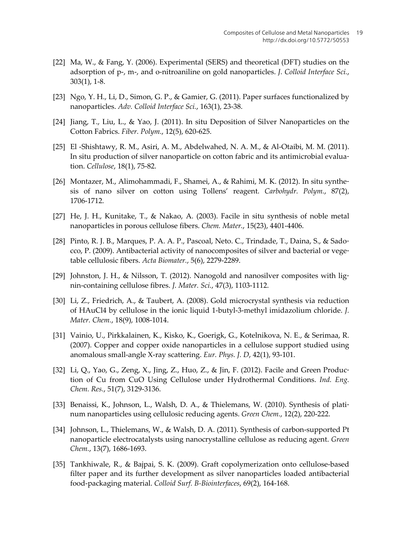- <span id="page-18-0"></span>[22] Ma, W., & Fang, Y. (2006). Experimental (SERS) and theoretical (DFT) studies on the adsorption of p-, m-, and o-nitroaniline on gold nanoparticles. *J. Colloid Interface Sci.*, 303(1), 1-8.
- [23] Ngo, Y. H., Li, D., Simon, G. P., & Gamier, G. (2011). Paper surfaces functionalized by nanoparticles. *Adv. Colloid Interface Sci.*, 163(1), 23-38.
- [24] Jiang, T., Liu, L., & Yao, J. (2011). In situ Deposition of Silver Nanoparticles on the Cotton Fabrics. *Fiber. Polym.*, 12(5), 620-625.
- [25] El -Shishtawy, R. M., Asiri, A. M., Abdelwahed, N. A. M., & Al-Otaibi, M. M. (2011). In situ production of silver nanoparticle on cotton fabric and its antimicrobial evalua‐ tion. *Cellulose*, 18(1), 75-82.
- [26] Montazer, M., Alimohammadi, F., Shamei, A., & Rahimi, M. K. (2012). In situ synthe‐ sis of nano silver on cotton using Tollens' reagent. *Carbohydr. Polym.*, 87(2), 1706-1712.
- [27] He, J. H., Kunitake, T., & Nakao, A. (2003). Facile in situ synthesis of noble metal nanoparticles in porous cellulose fibers. *Chem. Mater.*, 15(23), 4401-4406.
- [28] Pinto, R. J. B., Marques, P. A. A. P., Pascoal, Neto. C., Trindade, T., Daina, S., & Sado‐ cco, P. (2009). Antibacterial activity of nanocomposites of silver and bacterial or vegetable cellulosic fibers. *Acta Biomater.*, 5(6), 2279-2289.
- [29] Johnston, J. H., & Nilsson, T. (2012). Nanogold and nanosilver composites with lig‐ nin-containing cellulose fibres. *J. Mater. Sci.*, 47(3), 1103-1112.
- [30] Li, Z., Friedrich, A., & Taubert, A. (2008). Gold microcrystal synthesis via reduction of HAuCl4 by cellulose in the ionic liquid 1-butyl-3-methyl imidazolium chloride. *J. Mater. Chem.*, 18(9), 1008-1014.
- [31] Vainio, U., Pirkkalainen, K., Kisko, K., Goerigk, G., Kotelnikova, N. E., & Serimaa, R. (2007). Copper and copper oxide nanoparticles in a cellulose support studied using anomalous small-angle X-ray scattering. *Eur. Phys. J. D*, 42(1), 93-101.
- [32] Li, Q., Yao, G., Zeng, X., Jing, Z., Huo, Z., & Jin, F. (2012). Facile and Green Produc‐ tion of Cu from CuO Using Cellulose under Hydrothermal Conditions. *Ind. Eng. Chem. Res.*, 51(7), 3129-3136.
- [33] Benaissi, K., Johnson, L., Walsh, D. A., & Thielemans, W. (2010). Synthesis of platinum nanoparticles using cellulosic reducing agents. *Green Chem.*, 12(2), 220-222.
- [34] Johnson, L., Thielemans, W., & Walsh, D. A. (2011). Synthesis of carbon-supported Pt nanoparticle electrocatalysts using nanocrystalline cellulose as reducing agent. *Green Chem.*, 13(7), 1686-1693.
- [35] Tankhiwale, R., & Bajpai, S. K. (2009). Graft copolymerization onto cellulose-based filter paper and its further development as silver nanoparticles loaded antibacterial food-packaging material. *Colloid Surf. B-Biointerfaces*, 69(2), 164-168.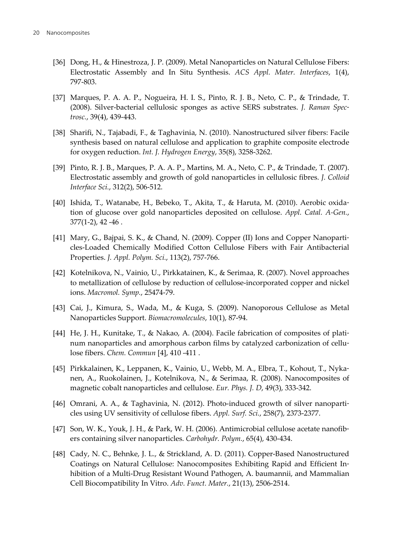- <span id="page-19-0"></span>[36] Dong, H., & Hinestroza, J. P. (2009). Metal Nanoparticles on Natural Cellulose Fibers: Electrostatic Assembly and In Situ Synthesis. *ACS Appl. Mater. Interfaces*, 1(4), 797-803.
- [37] Marques, P. A. A. P., Nogueira, H. I. S., Pinto, R. J. B., Neto, C. P., & Trindade, T. (2008). Silver-bacterial cellulosic sponges as active SERS substrates. *J. Raman Spec‐ trosc.*, 39(4), 439-443.
- [38] Sharifi, N., Tajabadi, F., & Taghavinia, N. (2010). Nanostructured silver fibers: Facile synthesis based on natural cellulose and application to graphite composite electrode for oxygen reduction. *Int. J. Hydrogen Energy*, 35(8), 3258-3262.
- [39] Pinto, R. J. B., Marques, P. A. A. P., Martins, M. A., Neto, C. P., & Trindade, T. (2007). Electrostatic assembly and growth of gold nanoparticles in cellulosic fibres. *J. Colloid Interface Sci.*, 312(2), 506-512.
- [40] Ishida, T., Watanabe, H., Bebeko, T., Akita, T., & Haruta, M. (2010). Aerobic oxida‐ tion of glucose over gold nanoparticles deposited on cellulose. *Appl. Catal. A-Gen.*, 377(1-2), 42 -46 .
- [41] Mary, G., Bajpai, S. K., & Chand, N. (2009). Copper (II) Ions and Copper Nanoparti‐ cles-Loaded Chemically Modified Cotton Cellulose Fibers with Fair Antibacterial Properties. *J. Appl. Polym. Sci.*, 113(2), 757-766.
- [42] Kotelnikova, N., Vainio, U., Pirkkatainen, K., & Serimaa, R. (2007). Novel approaches to metallization of cellulose by reduction of cellulose-incorporated copper and nickel ions. *Macromol. Symp.*, 25474-79.
- [43] Cai, J., Kimura, S., Wada, M., & Kuga, S. (2009). Nanoporous Cellulose as Metal Nanoparticles Support. *Biomacromolecules*, 10(1), 87-94.
- [44] He, J. H., Kunitake, T., & Nakao, A. (2004). Facile fabrication of composites of plati‐ num nanoparticles and amorphous carbon films by catalyzed carbonization of cellulose fibers. *Chem. Commun* [4], 410 -411 .
- [45] Pirkkalainen, K., Leppanen, K., Vainio, U., Webb, M. A., Elbra, T., Kohout, T., Nyka‐ nen, A., Ruokolainen, J., Kotelnikova, N., & Serimaa, R. (2008). Nanocomposites of magnetic cobalt nanoparticles and cellulose. *Eur. Phys. J. D*, 49(3), 333-342.
- [46] Omrani, A. A., & Taghavinia, N. (2012). Photo-induced growth of silver nanoparticles using UV sensitivity of cellulose fibers. *Appl. Surf. Sci.*, 258(7), 2373-2377.
- [47] Son, W. K., Youk, J. H., & Park, W. H. (2006). Antimicrobial cellulose acetate nanofib‐ ers containing silver nanoparticles. *Carbohydr. Polym.*, 65(4), 430-434.
- [48] Cady, N. C., Behnke, J. L., & Strickland, A. D. (2011). Copper-Based Nanostructured Coatings on Natural Cellulose: Nanocomposites Exhibiting Rapid and Efficient In‐ hibition of a Multi-Drug Resistant Wound Pathogen, A. baumannii, and Mammalian Cell Biocompatibility In Vitro. *Adv. Funct. Mater.*, 21(13), 2506-2514.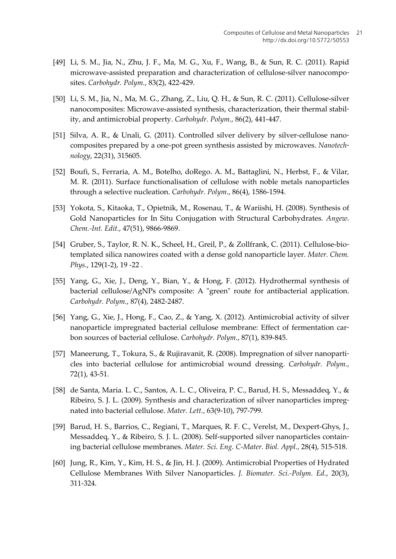- <span id="page-20-0"></span>[49] Li, S. M., Jia, N., Zhu, J. F., Ma, M. G., Xu, F., Wang, B., & Sun, R. C. (2011). Rapid microwave-assisted preparation and characterization of cellulose-silver nanocompo‐ sites. *Carbohydr. Polym.*, 83(2), 422-429.
- [50] Li, S. M., Jia, N., Ma, M. G., Zhang, Z., Liu, Q. H., & Sun, R. C. (2011). Cellulose-silver nanocomposites: Microwave-assisted synthesis, characterization, their thermal stabil‐ ity, and antimicrobial property. *Carbohydr. Polym.*, 86(2), 441-447.
- [51] Silva, A. R., & Unali, G. (2011). Controlled silver delivery by silver-cellulose nano‐ composites prepared by a one-pot green synthesis assisted by microwaves. *Nanotech‐ nology*, 22(31), 315605.
- [52] Boufi, S., Ferraria, A. M., Botelho, doRego. A. M., Battaglini, N., Herbst, F., & Vilar, M. R. (2011). Surface functionalisation of cellulose with noble metals nanoparticles through a selective nucleation. *Carbohydr. Polym.*, 86(4), 1586-1594.
- [53] Yokota, S., Kitaoka, T., Opietnik, M., Rosenau, T., & Wariishi, H. (2008). Synthesis of Gold Nanoparticles for In Situ Conjugation with Structural Carbohydrates. *Angew. Chem.-Int. Edit.*, 47(51), 9866-9869.
- [54] Gruber, S., Taylor, R. N. K., Scheel, H., Greil, P., & Zollfrank, C. (2011). Cellulose-bio‐ templated silica nanowires coated with a dense gold nanoparticle layer. *Mater. Chem. Phys.*, 129(1-2), 19 -22 .
- [55] Yang, G., Xie, J., Deng, Y., Bian, Y., & Hong, F. (2012). Hydrothermal synthesis of bacterial cellulose/AgNPs composite: A "green" route for antibacterial application. *Carbohydr. Polym.*, 87(4), 2482-2487.
- [56] Yang, G., Xie, J., Hong, F., Cao, Z., & Yang, X. (2012). Antimicrobial activity of silver nanoparticle impregnated bacterial cellulose membrane: Effect of fermentation carbon sources of bacterial cellulose. *Carbohydr. Polym.*, 87(1), 839-845.
- [57] Maneerung, T., Tokura, S., & Rujiravanit, R. (2008). Impregnation of silver nanoparti‐ cles into bacterial cellulose for antimicrobial wound dressing. *Carbohydr. Polym.*, 72(1), 43-51.
- [58] de Santa, Maria. L. C., Santos, A. L. C., Oliveira, P. C., Barud, H. S., Messaddeq, Y., & Ribeiro, S. J. L. (2009). Synthesis and characterization of silver nanoparticles impreg‐ nated into bacterial cellulose. *Mater. Lett.*, 63(9-10), 797-799.
- [59] Barud, H. S., Barrios, C., Regiani, T., Marques, R. F. C., Verelst, M., Dexpert-Ghys, J., Messaddeq, Y., & Ribeiro, S. J. L. (2008). Self-supported silver nanoparticles contain‐ ing bacterial cellulose membranes. *Mater. Sci. Eng. C-Mater. Biol. Appl.*, 28(4), 515-518.
- [60] Jung, R., Kim, Y., Kim, H. S., & Jin, H. J. (2009). Antimicrobial Properties of Hydrated Cellulose Membranes With Silver Nanoparticles. *J. Biomater. Sci.-Polym. Ed.*, 20(3), 311-324.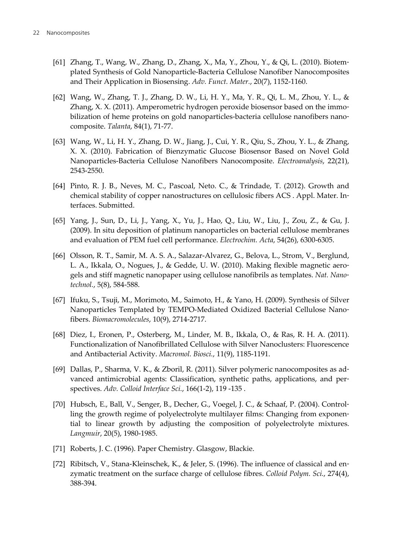- <span id="page-21-0"></span>[61] Zhang, T., Wang, W., Zhang, D., Zhang, X., Ma, Y., Zhou, Y., & Qi, L. (2010). Biotem‐ plated Synthesis of Gold Nanoparticle-Bacteria Cellulose Nanofiber Nanocomposites and Their Application in Biosensing. *Adv. Funct. Mater.*, 20(7), 1152-1160.
- [62] Wang, W., Zhang, T. J., Zhang, D. W., Li, H. Y., Ma, Y. R., Qi, L. M., Zhou, Y. L., & Zhang, X. X. (2011). Amperometric hydrogen peroxide biosensor based on the immobilization of heme proteins on gold nanoparticles-bacteria cellulose nanofibers nanocomposite. *Talanta*, 84(1), 71-77.
- [63] Wang, W., Li, H. Y., Zhang, D. W., Jiang, J., Cui, Y. R., Qiu, S., Zhou, Y. L., & Zhang, X. X. (2010). Fabrication of Bienzymatic Glucose Biosensor Based on Novel Gold Nanoparticles-Bacteria Cellulose Nanofibers Nanocomposite. *Electroanalysis*, 22(21), 2543-2550.
- [64] Pinto, R. J. B., Neves, M. C., Pascoal, Neto. C., & Trindade, T. (2012). Growth and chemical stability of copper nanostructures on cellulosic fibers ACS . Appl. Mater. In‐ terfaces. Submitted.
- [65] Yang, J., Sun, D., Li, J., Yang, X., Yu, J., Hao, Q., Liu, W., Liu, J., Zou, Z., & Gu, J. (2009). In situ deposition of platinum nanoparticles on bacterial cellulose membranes and evaluation of PEM fuel cell performance. *Electrochim. Acta*, 54(26), 6300-6305.
- [66] Olsson, R. T., Samir, M. A. S. A., Salazar-Alvarez, G., Belova, L., Strom, V., Berglund, L. A., Ikkala, O., Nogues, J., & Gedde, U. W. (2010). Making flexible magnetic aero‐ gels and stiff magnetic nanopaper using cellulose nanofibrils as templates. *Nat. Nano‐ technol.*, 5(8), 584-588.
- [67] Ifuku, S., Tsuji, M., Morimoto, M., Saimoto, H., & Yano, H. (2009). Synthesis of Silver Nanoparticles Templated by TEMPO-Mediated Oxidized Bacterial Cellulose Nano‐ fibers. *Biomacromolecules*, 10(9), 2714-2717.
- [68] Diez, I., Eronen, P., Osterberg, M., Linder, M. B., Ikkala, O., & Ras, R. H. A. (2011). Functionalization of Nanofibrillated Cellulose with Silver Nanoclusters: Fluorescence and Antibacterial Activity. *Macromol. Biosci.*, 11(9), 1185-1191.
- [69] Dallas, P., Sharma, V. K., & Zboril, R. (2011). Silver polymeric nanocomposites as ad‐ vanced antimicrobial agents: Classification, synthetic paths, applications, and per‐ spectives. *Adv. Colloid Interface Sci.*, 166(1-2), 119 -135 .
- [70] Hubsch, E., Ball, V., Senger, B., Decher, G., Voegel, J. C., & Schaaf, P. (2004). Control‐ ling the growth regime of polyelectrolyte multilayer films: Changing from exponen‐ tial to linear growth by adjusting the composition of polyelectrolyte mixtures. *Langmuir*, 20(5), 1980-1985.
- [71] Roberts, J. C. (1996). Paper Chemistry. Glasgow, Blackie.
- [72] Ribitsch, V., Stana-Kleinschek, K., & Jeler, S. (1996). The influence of classical and enzymatic treatment on the surface charge of cellulose fibres. *Colloid Polym. Sci.*, 274(4), 388-394.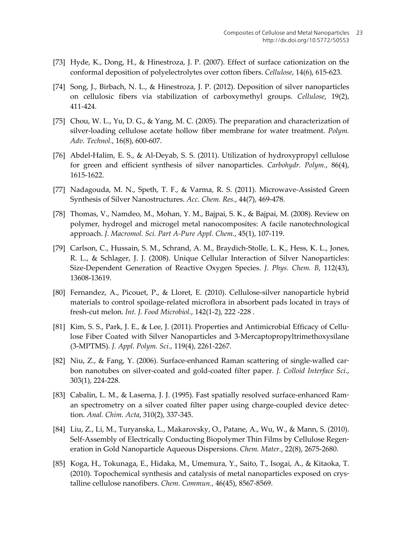- <span id="page-22-0"></span>[73] Hyde, K., Dong, H., & Hinestroza, J. P. (2007). Effect of surface cationization on the conformal deposition of polyelectrolytes over cotton fibers. *Cellulose*, 14(6), 615-623.
- [74] Song, J., Birbach, N. L., & Hinestroza, J. P. (2012). Deposition of silver nanoparticles on cellulosic fibers via stabilization of carboxymethyl groups. *Cellulose*, 19(2), 411-424.
- [75] Chou, W. L., Yu, D. G., & Yang, M. C. (2005). The preparation and characterization of silver-loading cellulose acetate hollow fiber membrane for water treatment. *Polym. Adv. Technol.*, 16(8), 600-607.
- [76] Abdel-Halim, E. S., & Al-Deyab, S. S. (2011). Utilization of hydroxypropyl cellulose for green and efficient synthesis of silver nanoparticles. *Carbohydr. Polym.*, 86(4), 1615-1622.
- [77] Nadagouda, M. N., Speth, T. F., & Varma, R. S. (2011). Microwave-Assisted Green Synthesis of Silver Nanostructures. *Acc. Chem. Res.*, 44(7), 469-478.
- [78] Thomas, V., Namdeo, M., Mohan, Y. M., Bajpai, S. K., & Bajpai, M. (2008). Review on polymer, hydrogel and microgel metal nanocomposites: A facile nanotechnological approach. *J. Macromol. Sci. Part A-Pure Appl. Chem.*, 45(1), 107-119.
- [79] Carlson, C., Hussain, S. M., Schrand, A. M., Braydich-Stolle, L. K., Hess, K. L., Jones, R. L., & Schlager, J. J. (2008). Unique Cellular Interaction of Silver Nanoparticles: Size-Dependent Generation of Reactive Oxygen Species. *J. Phys. Chem. B*, 112(43), 13608-13619.
- [80] Fernandez, A., Picouet, P., & Lloret, E. (2010). Cellulose-silver nanoparticle hybrid materials to control spoilage-related microflora in absorbent pads located in trays of fresh-cut melon. *Int. J. Food Microbiol.*, 142(1-2), 222 -228 .
- [81] Kim, S. S., Park, J. E., & Lee, J. (2011). Properties and Antimicrobial Efficacy of Cellulose Fiber Coated with Silver Nanoparticles and 3-Mercaptopropyltrimethoxysilane (3-MPTMS). *J. Appl. Polym. Sci.*, 119(4), 2261-2267.
- [82] Niu, Z., & Fang, Y. (2006). Surface-enhanced Raman scattering of single-walled carbon nanotubes on silver-coated and gold-coated filter paper. *J. Colloid Interface Sci.*, 303(1), 224-228.
- [83] Cabalin, L. M., & Laserna, J. J. (1995). Fast spatially resolved surface-enhanced Ram‐ an spectrometry on a silver coated filter paper using charge-coupled device detec‐ tion. *Anal. Chim. Acta*, 310(2), 337-345.
- [84] Liu, Z., Li, M., Turyanska, L., Makarovsky, O., Patane, A., Wu, W., & Mann, S. (2010). Self-Assembly of Electrically Conducting Biopolymer Thin Films by Cellulose Regen‐ eration in Gold Nanoparticle Aqueous Dispersions. *Chem. Mater.*, 22(8), 2675-2680.
- [85] Koga, H., Tokunaga, E., Hidaka, M., Umemura, Y., Saito, T., Isogai, A., & Kitaoka, T. (2010). Topochemical synthesis and catalysis of metal nanoparticles exposed on crys‐ talline cellulose nanofibers. *Chem. Commun.*, 46(45), 8567-8569.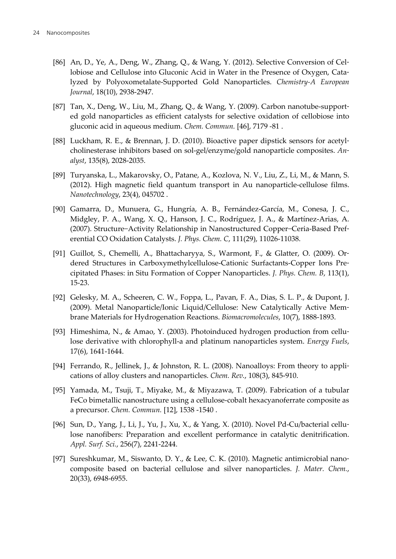- <span id="page-23-0"></span>[86] An, D., Ye, A., Deng, W., Zhang, Q., & Wang, Y. (2012). Selective Conversion of Cellobiose and Cellulose into Gluconic Acid in Water in the Presence of Oxygen, Cata‐ lyzed by Polyoxometalate-Supported Gold Nanoparticles. *Chemistry-A European Journal*, 18(10), 2938-2947.
- [87] Tan, X., Deng, W., Liu, M., Zhang, Q., & Wang, Y. (2009). Carbon nanotube-support‐ ed gold nanoparticles as efficient catalysts for selective oxidation of cellobiose into gluconic acid in aqueous medium. *Chem. Commun.* [46], 7179 -81 .
- [88] Luckham, R. E., & Brennan, J. D. (2010). Bioactive paper dipstick sensors for acetylcholinesterase inhibitors based on sol-gel/enzyme/gold nanoparticle composites. *An‐ alyst*, 135(8), 2028-2035.
- [89] Turyanska, L., Makarovsky, O., Patane, A., Kozlova, N. V., Liu, Z., Li, M., & Mann, S. (2012). High magnetic field quantum transport in Au nanoparticle-cellulose films. *Nanotechnology*, 23(4), 045702 .
- [90] Gamarra, D., Munuera, G., Hungría, A. B., Fernández-García, M., Conesa, J. C., Midgley, P. A., Wang, X. Q., Hanson, J. C., Rodríguez, J. A., & Martínez-Arias, A. (2007). Structure−Activity Relationship in Nanostructured Copper−Ceria-Based Pref‐ erential CO Oxidation Catalysts. *J. Phys. Chem. C*, 111(29), 11026-11038.
- [91] Guillot, S., Chemelli, A., Bhattacharyya, S., Warmont, F., & Glatter, O. (2009). Or‐ dered Structures in Carboxymethylcellulose-Cationic Surfactants-Copper Ions Pre‐ cipitated Phases: in Situ Formation of Copper Nanoparticles. *J. Phys. Chem. B*, 113(1), 15-23.
- [92] Gelesky, M. A., Scheeren, C. W., Foppa, L., Pavan, F. A., Dias, S. L. P., & Dupont, J. (2009). Metal Nanoparticle/Ionic Liquid/Cellulose: New Catalytically Active Mem‐ brane Materials for Hydrogenation Reactions. *Biomacromolecules*, 10(7), 1888-1893.
- [93] Himeshima, N., & Amao, Y. (2003). Photoinduced hydrogen production from cellulose derivative with chlorophyll-a and platinum nanoparticles system. *Energy Fuels*, 17(6), 1641-1644.
- [94] Ferrando, R., Jellinek, J., & Johnston, R. L. (2008). Nanoalloys: From theory to applications of alloy clusters and nanoparticles. *Chem. Rev.*, 108(3), 845-910.
- [95] Yamada, M., Tsuji, T., Miyake, M., & Miyazawa, T. (2009). Fabrication of a tubular FeCo bimetallic nanostructure using a cellulose-cobalt hexacyanoferrate composite as a precursor. *Chem. Commun.* [12], 1538 -1540 .
- [96] Sun, D., Yang, J., Li, J., Yu, J., Xu, X., & Yang, X. (2010). Novel Pd-Cu/bacterial cellu‐ lose nanofibers: Preparation and excellent performance in catalytic denitrification. *Appl. Surf. Sci.*, 256(7), 2241-2244.
- [97] Sureshkumar, M., Siswanto, D. Y., & Lee, C. K. (2010). Magnetic antimicrobial nano‐ composite based on bacterial cellulose and silver nanoparticles. *J. Mater. Chem.*, 20(33), 6948-6955.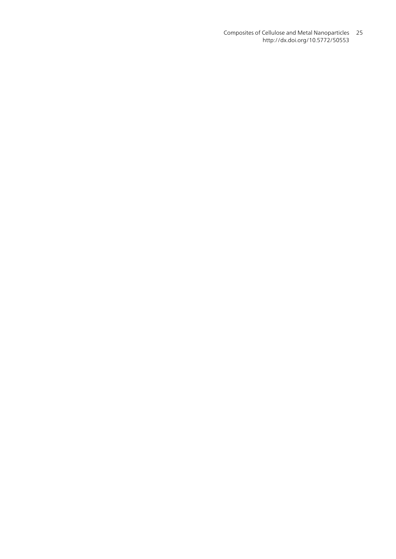Composites of Cellulose and Metal Nanoparticles 25http://dx.doi.org/10.5772/50553